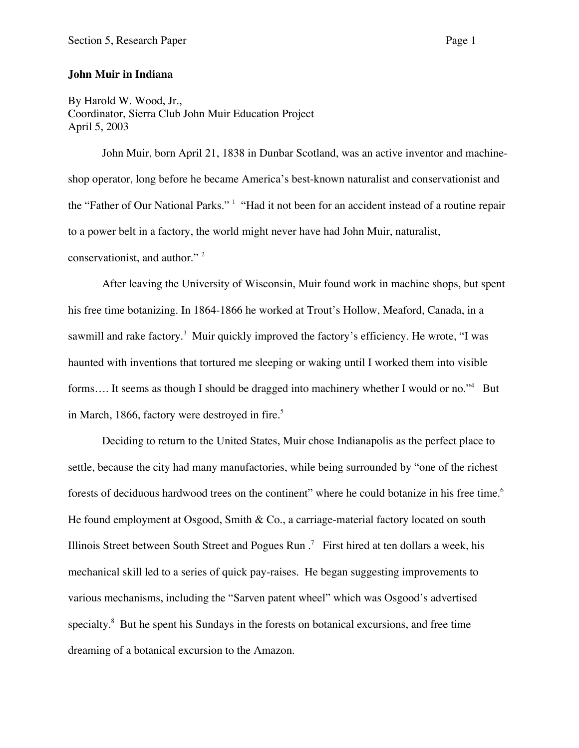## **John Muir in Indiana**

By Harold W. Wood, Jr., Coordinator, Sierra Club John Muir Education Project April 5, 2003

John Muir, born April 21, 1838 in Dunbar Scotland, was an active inventor and machineshop operator, long before he became America's best-known naturalist and conservationist and the "Father of Our National Parks." <sup>1</sup> "Had it not been for an accident instead of a routine repair to a power belt in a factory, the world might never have had John Muir, naturalist, conservationist, and author."<sup>2</sup>

After leaving the University of Wisconsin, Muir found work in machine shops, but spent his free time botanizing. In 1864-1866 he worked at Trout's Hollow, Meaford, Canada, in a sawmill and rake factory.<sup>3</sup> Muir quickly improved the factory's efficiency. He wrote, "I was haunted with inventions that tortured me sleeping or waking until I worked them into visible forms.... It seems as though I should be dragged into machinery whether I would or no."<sup>4</sup> But in March, 1866, factory were destroyed in fire.<sup>5</sup>

Deciding to return to the United States, Muir chose Indianapolis as the perfect place to settle, because the city had many manufactories, while being surrounded by "one of the richest forests of deciduous hardwood trees on the continent" where he could botanize in his free time.<sup>6</sup> He found employment at Osgood, Smith & Co., a carriage-material factory located on south Illinois Street between South Street and Pogues Run  $\cdot$  First hired at ten dollars a week, his mechanical skill led to a series of quick pay-raises. He began suggesting improvements to various mechanisms, including the "Sarven patent wheel" which was Osgood's advertised specialty.<sup>8</sup> But he spent his Sundays in the forests on botanical excursions, and free time dreaming of a botanical excursion to the Amazon.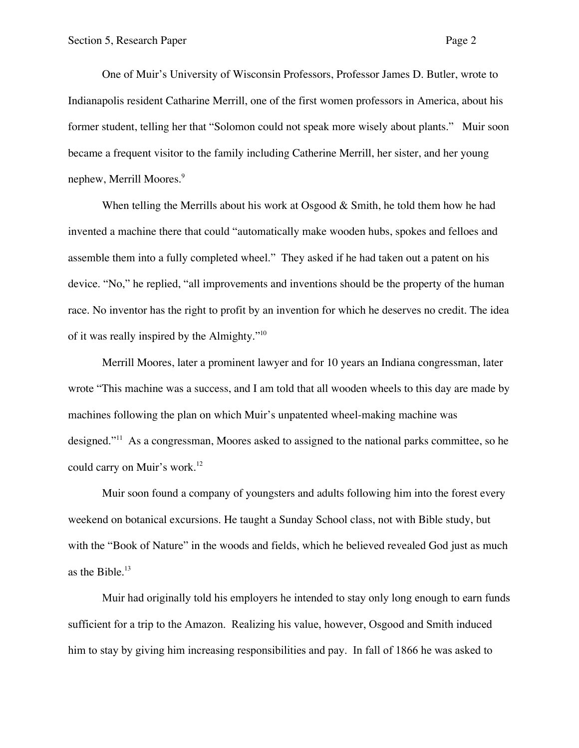One of Muir's University of Wisconsin Professors, Professor James D. Butler, wrote to Indianapolis resident Catharine Merrill, one of the first women professors in America, about his former student, telling her that "Solomon could not speak more wisely about plants." Muir soon became a frequent visitor to the family including Catherine Merrill, her sister, and her young nephew, Merrill Moores.<sup>9</sup>

When telling the Merrills about his work at Osgood  $&$  Smith, he told them how he had invented a machine there that could "automatically make wooden hubs, spokes and felloes and assemble them into a fully completed wheel." They asked if he had taken out a patent on his device. "No," he replied, "all improvements and inventions should be the property of the human race. No inventor has the right to profit by an invention for which he deserves no credit. The idea of it was really inspired by the Almighty."10

Merrill Moores, later a prominent lawyer and for 10 years an Indiana congressman, later wrote "This machine was a success, and I am told that all wooden wheels to this day are made by machines following the plan on which Muir's unpatented wheel-making machine was designed."<sup>11</sup> As a congressman, Moores asked to assigned to the national parks committee, so he could carry on Muir's work.<sup>12</sup>

Muir soon found a company of youngsters and adults following him into the forest every weekend on botanical excursions. He taught a Sunday School class, not with Bible study, but with the "Book of Nature" in the woods and fields, which he believed revealed God just as much as the Bible.<sup>13</sup>

Muir had originally told his employers he intended to stay only long enough to earn funds sufficient for a trip to the Amazon. Realizing his value, however, Osgood and Smith induced him to stay by giving him increasing responsibilities and pay. In fall of 1866 he was asked to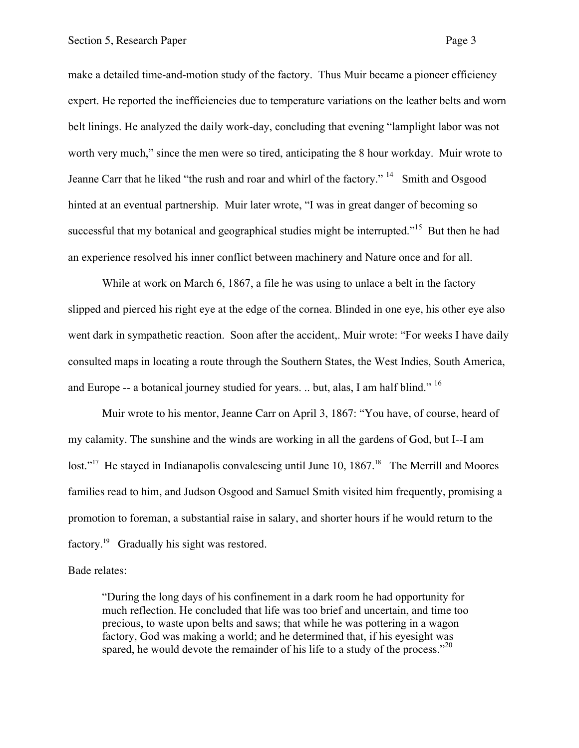make a detailed time-and-motion study of the factory. Thus Muir became a pioneer efficiency expert. He reported the inefficiencies due to temperature variations on the leather belts and worn belt linings. He analyzed the daily work-day, concluding that evening "lamplight labor was not worth very much," since the men were so tired, anticipating the 8 hour workday. Muir wrote to Jeanne Carr that he liked "the rush and roar and whirl of the factory."<sup>14</sup> Smith and Osgood hinted at an eventual partnership. Muir later wrote, "I was in great danger of becoming so successful that my botanical and geographical studies might be interrupted."<sup>15</sup> But then he had an experience resolved his inner conflict between machinery and Nature once and for all.

While at work on March 6, 1867, a file he was using to unlace a belt in the factory slipped and pierced his right eye at the edge of the cornea. Blinded in one eye, his other eye also went dark in sympathetic reaction. Soon after the accident,. Muir wrote: "For weeks I have daily consulted maps in locating a route through the Southern States, the West Indies, South America, and Europe -- a botanical journey studied for years. .. but, alas, I am half blind." 16

Muir wrote to his mentor, Jeanne Carr on April 3, 1867: "You have, of course, heard of my calamity. The sunshine and the winds are working in all the gardens of God, but I--I am lost."<sup>17</sup> He stayed in Indianapolis convalescing until June 10, 1867.<sup>18</sup> The Merrill and Moores families read to him, and Judson Osgood and Samuel Smith visited him frequently, promising a promotion to foreman, a substantial raise in salary, and shorter hours if he would return to the factory.<sup>19</sup> Gradually his sight was restored.

Bade relates:

"During the long days of his confinement in a dark room he had opportunity for much reflection. He concluded that life was too brief and uncertain, and time too precious, to waste upon belts and saws; that while he was pottering in a wagon factory, God was making a world; and he determined that, if his eyesight was spared, he would devote the remainder of his life to a study of the process."<sup>20</sup>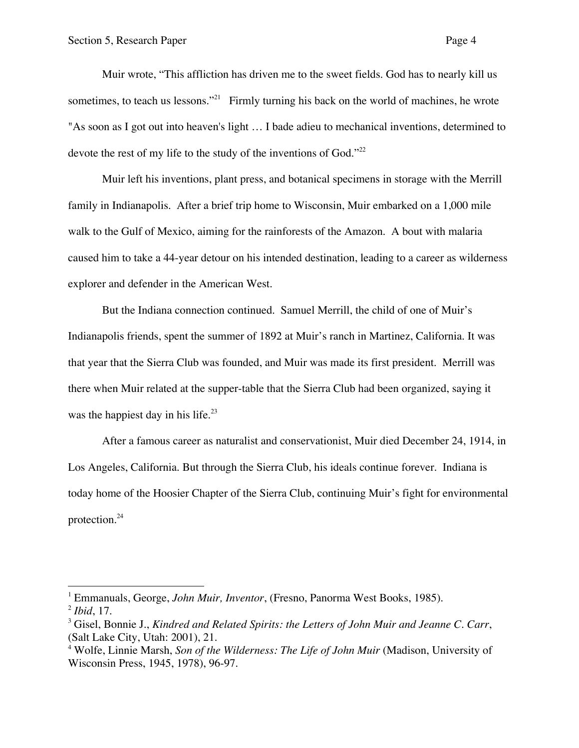$\overline{a}$ 

Muir wrote, "This affliction has driven me to the sweet fields. God has to nearly kill us sometimes, to teach us lessons."<sup>21</sup> Firmly turning his back on the world of machines, he wrote "As soon as I got out into heaven's light … I bade adieu to mechanical inventions, determined to devote the rest of my life to the study of the inventions of God."<sup>22</sup>

Muir left his inventions, plant press, and botanical specimens in storage with the Merrill family in Indianapolis. After a brief trip home to Wisconsin, Muir embarked on a 1,000 mile walk to the Gulf of Mexico, aiming for the rainforests of the Amazon. A bout with malaria caused him to take a 44-year detour on his intended destination, leading to a career as wilderness explorer and defender in the American West.

But the Indiana connection continued. Samuel Merrill, the child of one of Muir's Indianapolis friends, spent the summer of 1892 at Muir's ranch in Martinez, California. It was that year that the Sierra Club was founded, and Muir was made its first president. Merrill was there when Muir related at the supper-table that the Sierra Club had been organized, saying it was the happiest day in his life.<sup>23</sup>

After a famous career as naturalist and conservationist, Muir died December 24, 1914, in Los Angeles, California. But through the Sierra Club, his ideals continue forever. Indiana is today home of the Hoosier Chapter of the Sierra Club, continuing Muir's fight for environmental protection.24

<sup>1</sup> Emmanuals, George, *John Muir, Inventor*, (Fresno, Panorma West Books, 1985). <sup>2</sup> *Ibid*, 17.

<sup>3</sup> Gisel, Bonnie J., *Kindred and Related Spirits: the Letters of John Muir and Jeanne C. Carr*, (Salt Lake City, Utah: 2001), 21.

<sup>4</sup> Wolfe, Linnie Marsh, *Son of the Wilderness: The Life of John Muir* (Madison, University of Wisconsin Press, 1945, 1978), 96-97.